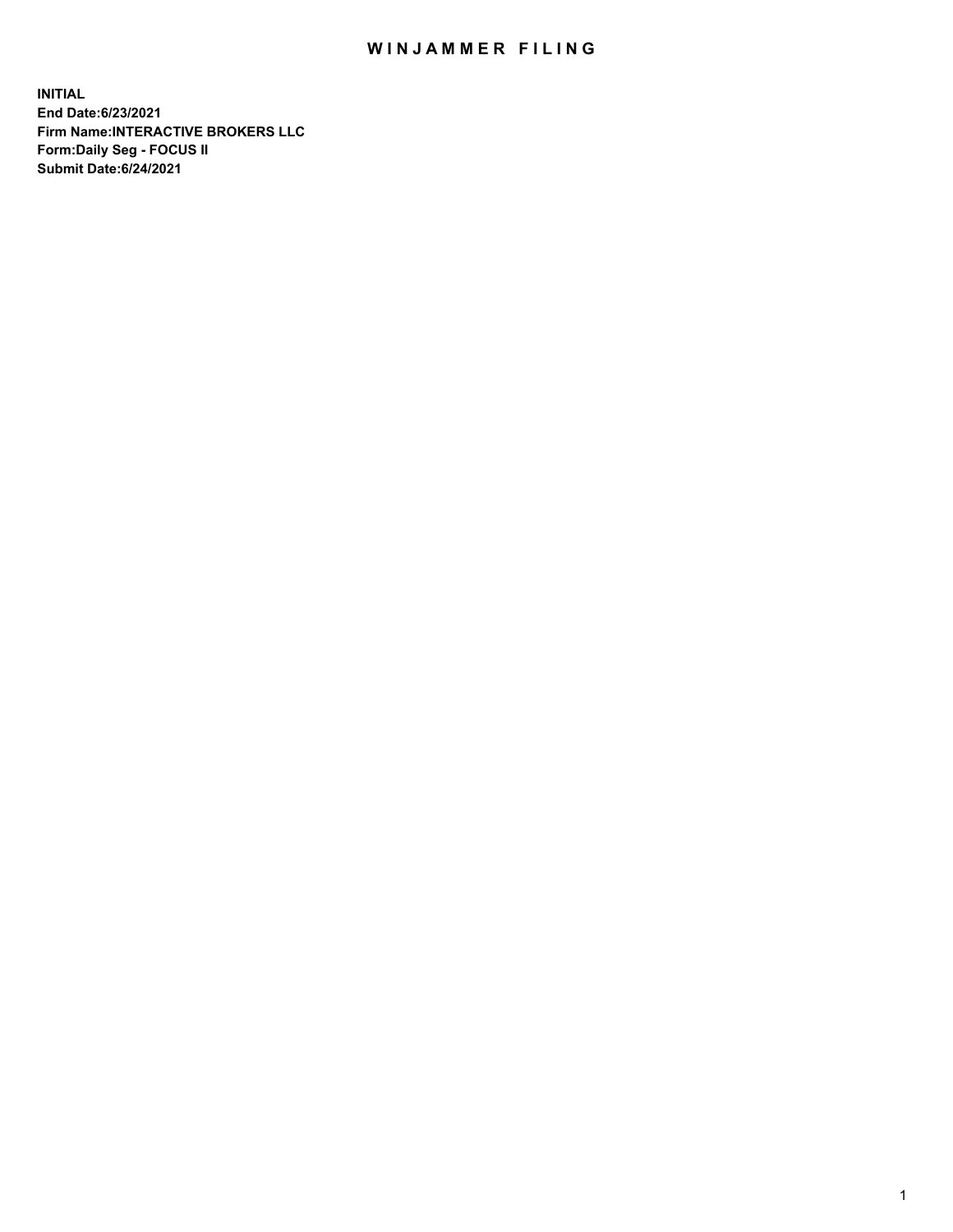## WIN JAMMER FILING

**INITIAL End Date:6/23/2021 Firm Name:INTERACTIVE BROKERS LLC Form:Daily Seg - FOCUS II Submit Date:6/24/2021**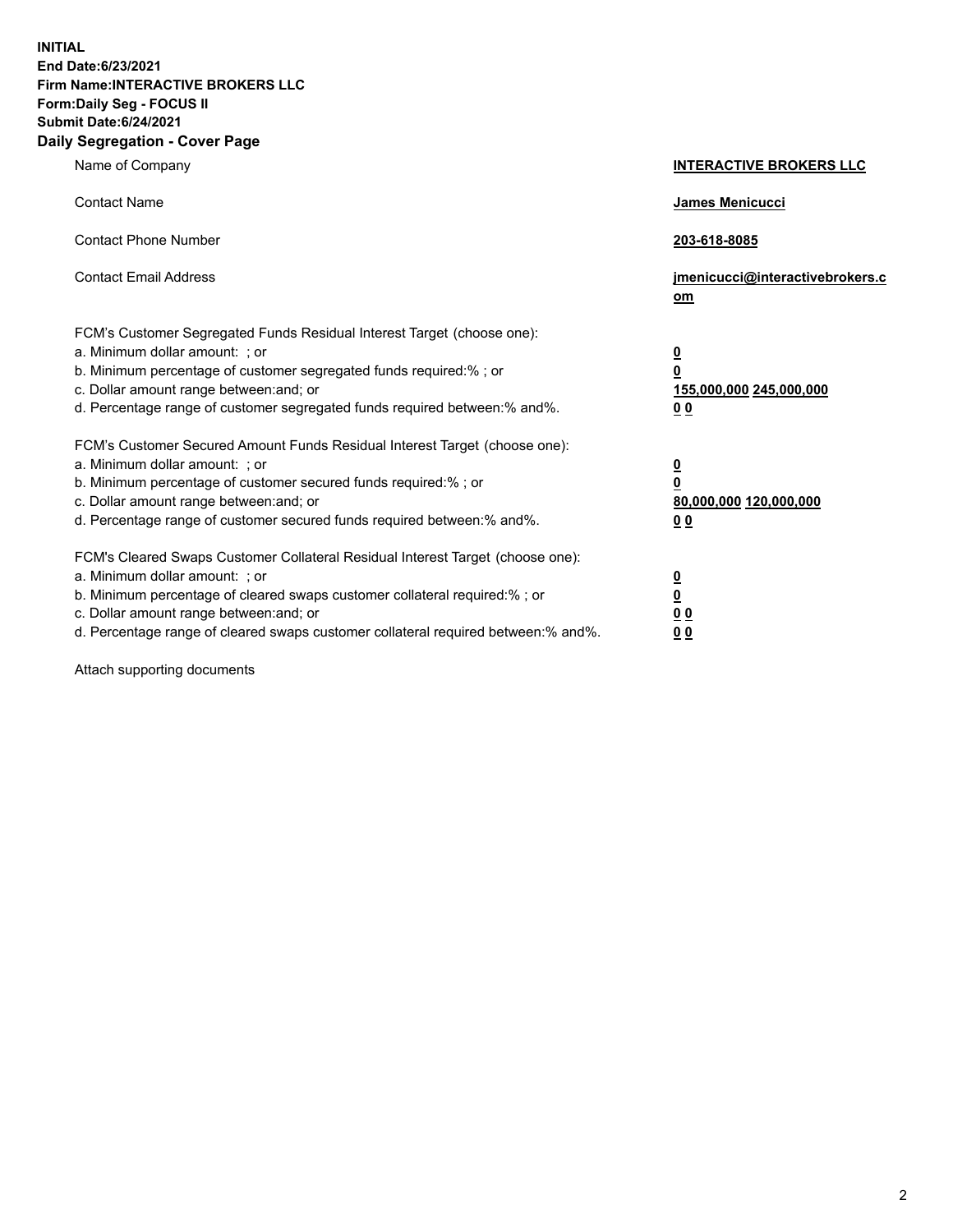**INITIAL End Date:6/23/2021 Firm Name:INTERACTIVE BROKERS LLC Form:Daily Seg - FOCUS II Submit Date:6/24/2021 Daily Segregation - Cover Page**

| Name of Company                                                                                                                                                                                                                                                                                                                | <b>INTERACTIVE BROKERS LLC</b>                                                   |
|--------------------------------------------------------------------------------------------------------------------------------------------------------------------------------------------------------------------------------------------------------------------------------------------------------------------------------|----------------------------------------------------------------------------------|
| <b>Contact Name</b>                                                                                                                                                                                                                                                                                                            | James Menicucci                                                                  |
| <b>Contact Phone Number</b>                                                                                                                                                                                                                                                                                                    | 203-618-8085                                                                     |
| <b>Contact Email Address</b>                                                                                                                                                                                                                                                                                                   | jmenicucci@interactivebrokers.c<br>om                                            |
| FCM's Customer Segregated Funds Residual Interest Target (choose one):<br>a. Minimum dollar amount: ; or<br>b. Minimum percentage of customer segregated funds required:% ; or<br>c. Dollar amount range between: and; or<br>d. Percentage range of customer segregated funds required between:% and%.                         | <u>0</u><br>$\overline{\mathbf{0}}$<br>155,000,000 245,000,000<br>0 <sub>0</sub> |
| FCM's Customer Secured Amount Funds Residual Interest Target (choose one):<br>a. Minimum dollar amount: ; or<br>b. Minimum percentage of customer secured funds required:% ; or<br>c. Dollar amount range between: and; or<br>d. Percentage range of customer secured funds required between:% and%.                           | <u>0</u><br>$\overline{\mathbf{0}}$<br>80,000,000 120,000,000<br>0 <sub>0</sub>  |
| FCM's Cleared Swaps Customer Collateral Residual Interest Target (choose one):<br>a. Minimum dollar amount: ; or<br>b. Minimum percentage of cleared swaps customer collateral required:% ; or<br>c. Dollar amount range between: and; or<br>d. Percentage range of cleared swaps customer collateral required between:% and%. | <u>0</u><br>$\underline{\mathbf{0}}$<br>0 <sub>0</sub><br>0 <sub>0</sub>         |

Attach supporting documents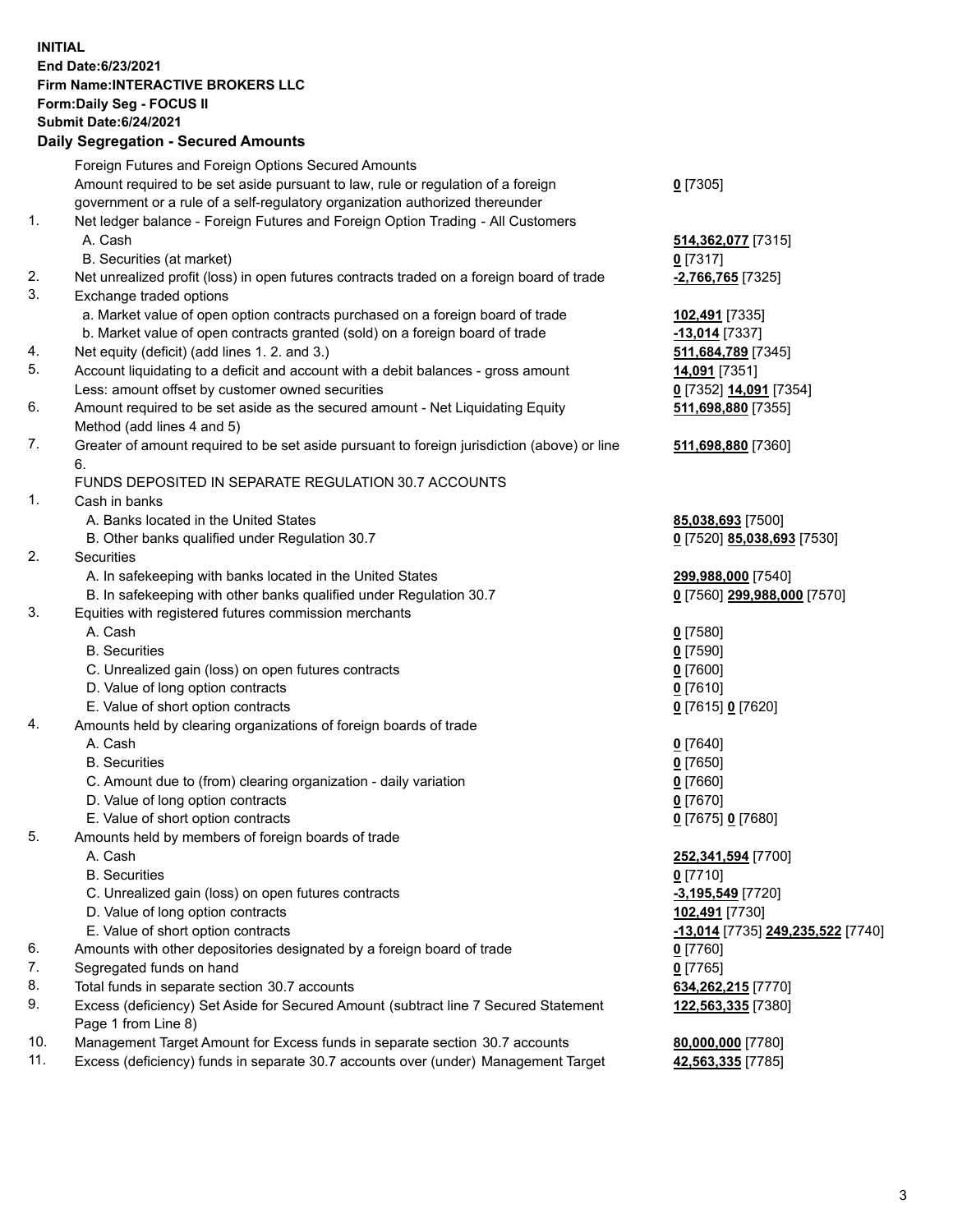## **INITIAL End Date:6/23/2021 Firm Name:INTERACTIVE BROKERS LLC Form:Daily Seg - FOCUS II Submit Date:6/24/2021 Daily Segregation - Secured Amounts**

|     | Dally Segregation - Secured Amounts                                                         |                                   |
|-----|---------------------------------------------------------------------------------------------|-----------------------------------|
|     | Foreign Futures and Foreign Options Secured Amounts                                         |                                   |
|     | Amount required to be set aside pursuant to law, rule or regulation of a foreign            | $0$ [7305]                        |
|     | government or a rule of a self-regulatory organization authorized thereunder                |                                   |
| 1.  | Net ledger balance - Foreign Futures and Foreign Option Trading - All Customers             |                                   |
|     | A. Cash                                                                                     | 514,362,077 [7315]                |
|     | B. Securities (at market)                                                                   | $0$ [7317]                        |
| 2.  | Net unrealized profit (loss) in open futures contracts traded on a foreign board of trade   | -2,766,765 <sup>[7325]</sup>      |
| 3.  | Exchange traded options                                                                     |                                   |
|     | a. Market value of open option contracts purchased on a foreign board of trade              | 102,491 [7335]                    |
|     | b. Market value of open contracts granted (sold) on a foreign board of trade                | $-13,014$ [7337]                  |
| 4.  | Net equity (deficit) (add lines 1. 2. and 3.)                                               | 511,684,789 [7345]                |
| 5.  | Account liquidating to a deficit and account with a debit balances - gross amount           | 14,091 [7351]                     |
|     | Less: amount offset by customer owned securities                                            | 0 [7352] 14,091 [7354]            |
| 6.  | Amount required to be set aside as the secured amount - Net Liquidating Equity              | 511,698,880 [7355]                |
|     | Method (add lines 4 and 5)                                                                  |                                   |
| 7.  | Greater of amount required to be set aside pursuant to foreign jurisdiction (above) or line | 511,698,880 [7360]                |
|     | 6.                                                                                          |                                   |
|     | FUNDS DEPOSITED IN SEPARATE REGULATION 30.7 ACCOUNTS                                        |                                   |
| 1.  | Cash in banks                                                                               |                                   |
|     | A. Banks located in the United States                                                       | 85,038,693 [7500]                 |
|     | B. Other banks qualified under Regulation 30.7                                              | 0 [7520] 85,038,693 [7530]        |
| 2.  | Securities                                                                                  |                                   |
|     | A. In safekeeping with banks located in the United States                                   | 299,988,000 [7540]                |
|     | B. In safekeeping with other banks qualified under Regulation 30.7                          | 0 [7560] 299,988,000 [7570]       |
| 3.  | Equities with registered futures commission merchants                                       |                                   |
|     | A. Cash                                                                                     | $0$ [7580]                        |
|     | <b>B.</b> Securities                                                                        | $0$ [7590]                        |
|     | C. Unrealized gain (loss) on open futures contracts                                         | $0$ [7600]                        |
|     | D. Value of long option contracts                                                           | $0$ [7610]                        |
|     | E. Value of short option contracts                                                          |                                   |
| 4.  |                                                                                             | 0 [7615] 0 [7620]                 |
|     | Amounts held by clearing organizations of foreign boards of trade<br>A. Cash                |                                   |
|     | <b>B.</b> Securities                                                                        | $0$ [7640]                        |
|     |                                                                                             | $0$ [7650]                        |
|     | C. Amount due to (from) clearing organization - daily variation                             | $0$ [7660]                        |
|     | D. Value of long option contracts                                                           | $0$ [7670]                        |
|     | E. Value of short option contracts                                                          | 0 [7675] 0 [7680]                 |
| 5.  | Amounts held by members of foreign boards of trade                                          |                                   |
|     | A. Cash                                                                                     | 252,341,594 [7700]                |
|     | <b>B.</b> Securities                                                                        | $0$ [7710]                        |
|     | C. Unrealized gain (loss) on open futures contracts                                         | $-3,195,549$ [7720]               |
|     | D. Value of long option contracts                                                           | 102,491 [7730]                    |
|     | E. Value of short option contracts                                                          | -13,014 [7735] 249,235,522 [7740] |
| 6.  | Amounts with other depositories designated by a foreign board of trade                      | $0$ [7760]                        |
| 7.  | Segregated funds on hand                                                                    | $0$ [7765]                        |
| 8.  | Total funds in separate section 30.7 accounts                                               | 634,262,215 [7770]                |
| 9.  | Excess (deficiency) Set Aside for Secured Amount (subtract line 7 Secured Statement         | 122,563,335 [7380]                |
|     | Page 1 from Line 8)                                                                         |                                   |
| 10. | Management Target Amount for Excess funds in separate section 30.7 accounts                 | 80,000,000 [7780]                 |
| 11. | Excess (deficiency) funds in separate 30.7 accounts over (under) Management Target          | 42,563,335 [7785]                 |
|     |                                                                                             |                                   |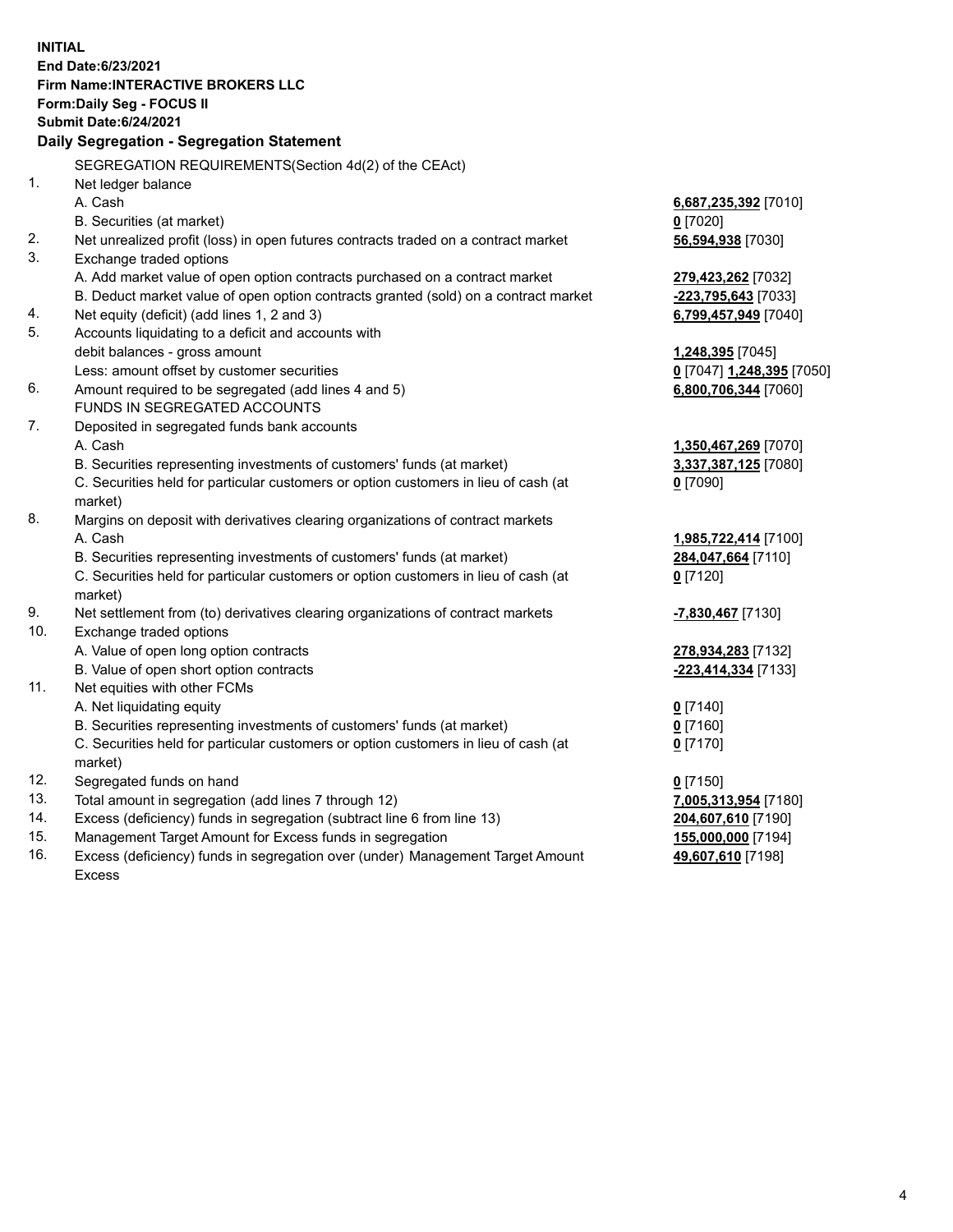**INITIAL End Date:6/23/2021 Firm Name:INTERACTIVE BROKERS LLC Form:Daily Seg - FOCUS II Submit Date:6/24/2021 Daily Segregation - Segregation Statement** SEGREGATION REQUIREMENTS(Section 4d(2) of the CEAct) 1. Net ledger balance A. Cash **6,687,235,392** [7010] B. Securities (at market) **0** [7020] 2. Net unrealized profit (loss) in open futures contracts traded on a contract market **56,594,938** [7030] 3. Exchange traded options A. Add market value of open option contracts purchased on a contract market **279,423,262** [7032] B. Deduct market value of open option contracts granted (sold) on a contract market **-223,795,643** [7033] 4. Net equity (deficit) (add lines 1, 2 and 3) **6,799,457,949** [7040] 5. Accounts liquidating to a deficit and accounts with debit balances - gross amount **1,248,395** [7045] Less: amount offset by customer securities **0** [7047] **1,248,395** [7050] 6. Amount required to be segregated (add lines 4 and 5) **6,800,706,344** [7060] FUNDS IN SEGREGATED ACCOUNTS 7. Deposited in segregated funds bank accounts A. Cash **1,350,467,269** [7070] B. Securities representing investments of customers' funds (at market) **3,337,387,125** [7080] C. Securities held for particular customers or option customers in lieu of cash (at market) **0** [7090] 8. Margins on deposit with derivatives clearing organizations of contract markets A. Cash **1,985,722,414** [7100] B. Securities representing investments of customers' funds (at market) **284,047,664** [7110] C. Securities held for particular customers or option customers in lieu of cash (at market) **0** [7120] 9. Net settlement from (to) derivatives clearing organizations of contract markets **-7,830,467** [7130] 10. Exchange traded options A. Value of open long option contracts **278,934,283** [7132] B. Value of open short option contracts **-223,414,334** [7133] 11. Net equities with other FCMs A. Net liquidating equity **0** [7140] B. Securities representing investments of customers' funds (at market) **0** [7160] C. Securities held for particular customers or option customers in lieu of cash (at market) **0** [7170] 12. Segregated funds on hand **0** [7150] 13. Total amount in segregation (add lines 7 through 12) **7,005,313,954** [7180] 14. Excess (deficiency) funds in segregation (subtract line 6 from line 13) **204,607,610** [7190] 15. Management Target Amount for Excess funds in segregation **155,000,000** [7194]

16. Excess (deficiency) funds in segregation over (under) Management Target Amount Excess

**49,607,610** [7198]